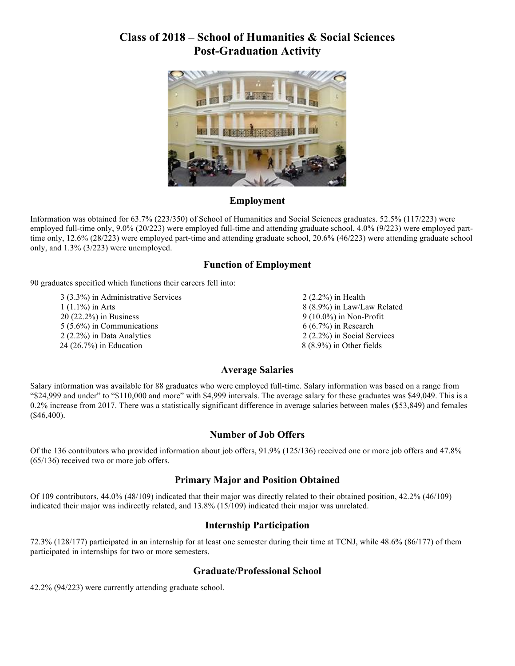# **Class of 2018 – School of Humanities & Social Sciences Post-Graduation Activity**



#### **Employment**

Information was obtained for 63.7% (223/350) of School of Humanities and Social Sciences graduates. 52.5% (117/223) were employed full-time only, 9.0% (20/223) were employed full-time and attending graduate school, 4.0% (9/223) were employed parttime only, 12.6% (28/223) were employed part-time and attending graduate school, 20.6% (46/223) were attending graduate school only, and 1.3% (3/223) were unemployed.

#### **Function of Employment**

90 graduates specified which functions their careers fell into:

3 (3.3%) in Administrative Services 1 (1.1%) in Arts 20 (22.2%) in Business 5 (5.6%) in Communications 2 (2.2%) in Data Analytics 24 (26.7%) in Education

2 (2.2%) in Health 8 (8.9%) in Law/Law Related 9 (10.0%) in Non-Profit 6 (6.7%) in Research 2 (2.2%) in Social Services 8 (8.9%) in Other fields

#### **Average Salaries**

Salary information was available for 88 graduates who were employed full-time. Salary information was based on a range from "\$24,999 and under" to "\$110,000 and more" with \$4,999 intervals. The average salary for these graduates was \$49,049. This is a 0.2% increase from 2017. There was a statistically significant difference in average salaries between males (\$53,849) and females (\$46,400).

#### **Number of Job Offers**

Of the 136 contributors who provided information about job offers, 91.9% (125/136) received one or more job offers and 47.8% (65/136) received two or more job offers.

#### **Primary Major and Position Obtained**

Of 109 contributors, 44.0% (48/109) indicated that their major was directly related to their obtained position, 42.2% (46/109) indicated their major was indirectly related, and 13.8% (15/109) indicated their major was unrelated.

#### **Internship Participation**

72.3% (128/177) participated in an internship for at least one semester during their time at TCNJ, while 48.6% (86/177) of them participated in internships for two or more semesters.

#### **Graduate/Professional School**

42.2% (94/223) were currently attending graduate school.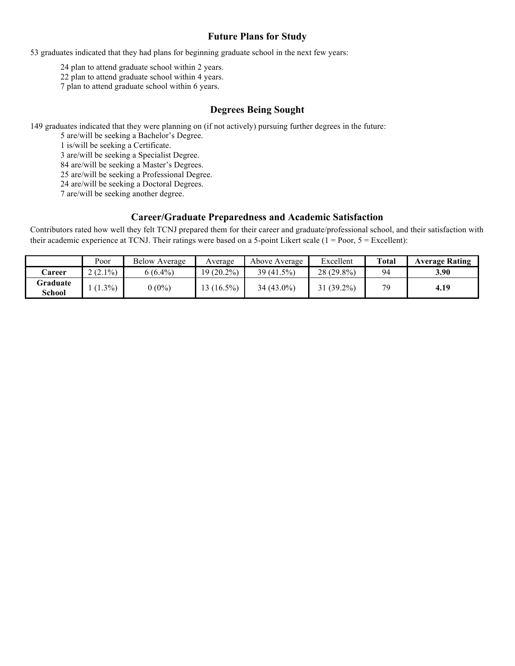#### **Future Plans for Study**

53 graduates indicated that they had plans for beginning graduate school in the next few years:

24 plan to attend graduate school within 2 years.

22 plan to attend graduate school within 4 years.

7 plan to attend graduate school within 6 years.

#### **Degrees Being Sought**

149 graduates indicated that they were planning on (if not actively) pursuing further degrees in the future:

5 are/will be seeking a Bachelor's Degree.

1 is/will be seeking a Certificate.

3 are/will be seeking a Specialist Degree.

84 are/will be seeking a Master's Degrees.

25 are/will be seeking a Professional Degree.

24 are/will be seeking a Doctoral Degrees.

7 are/will be seeking another degree.

#### **Career/Graduate Preparedness and Academic Satisfaction**

Contributors rated how well they felt TCNJ prepared them for their career and graduate/professional school, and their satisfaction with their academic experience at TCNJ. Their ratings were based on a 5-point Likert scale  $(1 = Poor, 5 = Execllen)$ :

|                    | Poor      | <b>Below Average</b> | Average      | Above Average | Excellent    | Total | <b>Average Rating</b> |
|--------------------|-----------|----------------------|--------------|---------------|--------------|-------|-----------------------|
| <b>Career</b>      | $(2.1\%)$ | $6(6.4\%)$           | $19(20.2\%)$ | $39(41.5\%)$  | $28(29.8\%)$ | 94    | 3.90                  |
| Graduate<br>School | $(1.3\%)$ | $0(0\%)$             | $(16.5\%)$   | 34 (43.0%)    | $31(39.2\%)$ | 70    | 4.19                  |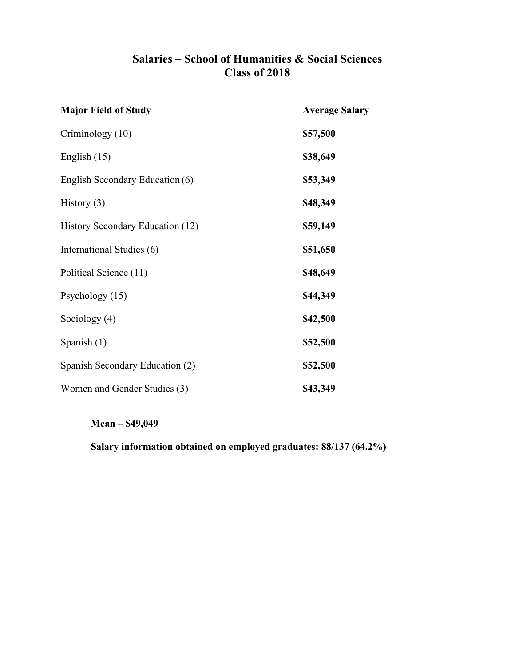| <b>Major Field of Study</b>      | <b>Average Salary</b> |
|----------------------------------|-----------------------|
| Criminology (10)                 | \$57,500              |
| English $(15)$                   | \$38,649              |
| English Secondary Education (6)  | \$53,349              |
| History $(3)$                    | \$48,349              |
| History Secondary Education (12) | \$59,149              |
| International Studies (6)        | \$51,650              |
| Political Science (11)           | \$48,649              |
| Psychology (15)                  | \$44,349              |
| Sociology $(4)$                  | \$42,500              |
| Spanish $(1)$                    | \$52,500              |
| Spanish Secondary Education (2)  | \$52,500              |
| Women and Gender Studies (3)     | \$43,349              |

# **Salaries – School of Humanities & Social Sciences Class of 2018**

**Mean – \$49,049**

**Salary information obtained on employed graduates: 88/137 (64.2%)**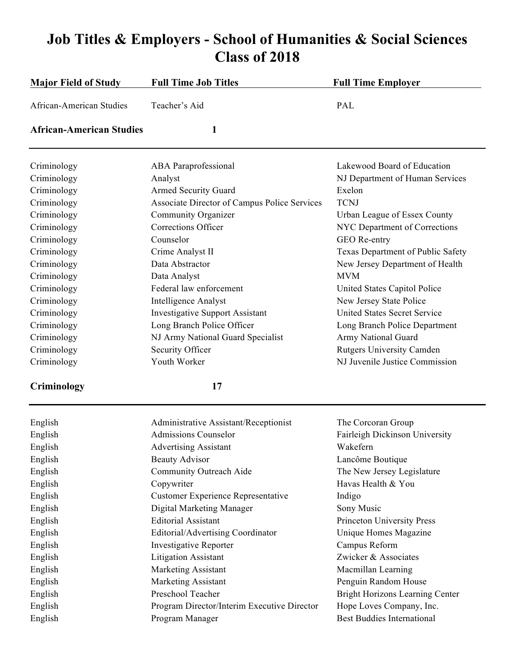# **Job Titles & Employers - School of Humanities & Social Sciences Class of 2018**

| <b>Major Field of Study</b>     | <b>Full Time Job Titles</b>                  | <b>Full Time Employer</b>           |
|---------------------------------|----------------------------------------------|-------------------------------------|
| African-American Studies        | Teacher's Aid                                | PAL                                 |
| <b>African-American Studies</b> | 1                                            |                                     |
| Criminology                     | <b>ABA</b> Paraprofessional                  | Lakewood Board of Education         |
| Criminology                     | Analyst                                      | NJ Department of Human Services     |
| Criminology                     | <b>Armed Security Guard</b>                  | Exelon                              |
| Criminology                     | Associate Director of Campus Police Services | <b>TCNJ</b>                         |
| Criminology                     | Community Organizer                          | Urban League of Essex County        |
| Criminology                     | <b>Corrections Officer</b>                   | NYC Department of Corrections       |
| Criminology                     | Counselor                                    | GEO Re-entry                        |
| Criminology                     | Crime Analyst II                             | Texas Department of Public Safety   |
| Criminology                     | Data Abstractor                              | New Jersey Department of Health     |
| Criminology                     | Data Analyst                                 | <b>MVM</b>                          |
| Criminology                     | Federal law enforcement                      | United States Capitol Police        |
| Criminology                     | Intelligence Analyst                         | New Jersey State Police             |
| Criminology                     | <b>Investigative Support Assistant</b>       | <b>United States Secret Service</b> |
| Criminology                     | Long Branch Police Officer                   | Long Branch Police Department       |
| Criminology                     | NJ Army National Guard Specialist            | Army National Guard                 |
| Criminology                     | Security Officer                             | <b>Rutgers University Camden</b>    |
| Criminology                     | Youth Worker                                 | NJ Juvenile Justice Commission      |

# **Criminology 17**

| English | Administrative Assistant/Receptionist       | The Corcoran Group                |
|---------|---------------------------------------------|-----------------------------------|
| English | <b>Admissions Counselor</b>                 | Fairleigh Dickinson University    |
| English | <b>Advertising Assistant</b>                | Wakefern                          |
| English | <b>Beauty Advisor</b>                       | Lancôme Boutique                  |
| English | Community Outreach Aide                     | The New Jersey Legislature        |
| English | Copywriter                                  | Havas Health & You                |
| English | <b>Customer Experience Representative</b>   | Indigo                            |
| English | Digital Marketing Manager                   | Sony Music                        |
| English | <b>Editorial Assistant</b>                  | Princeton University Press        |
| English | Editorial/Advertising Coordinator           | Unique Homes Magazine             |
| English | <b>Investigative Reporter</b>               | Campus Reform                     |
| English | <b>Litigation Assistant</b>                 | Zwicker & Associates              |
| English | Marketing Assistant                         | Macmillan Learning                |
| English | Marketing Assistant                         | Penguin Random House              |
| English | Preschool Teacher                           | Bright Horizons Learning Center   |
| English | Program Director/Interim Executive Director | Hope Loves Company, Inc.          |
| English | Program Manager                             | <b>Best Buddies International</b> |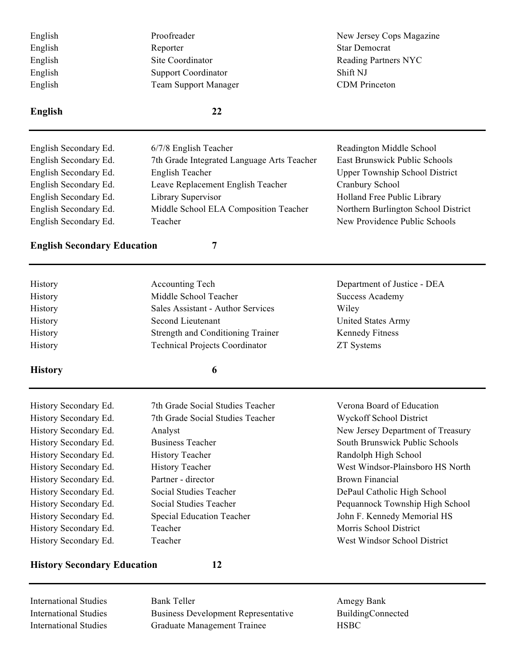| English                            | Proofreader                                | New Jersey Cops Magazine              |
|------------------------------------|--------------------------------------------|---------------------------------------|
| English                            | Reporter                                   | <b>Star Democrat</b>                  |
| English                            | Site Coordinator                           | <b>Reading Partners NYC</b>           |
| English                            | <b>Support Coordinator</b>                 | Shift NJ                              |
| English                            | <b>Team Support Manager</b>                | <b>CDM</b> Princeton                  |
| <b>English</b>                     | 22                                         |                                       |
| English Secondary Ed.              | 6/7/8 English Teacher                      | Readington Middle School              |
| English Secondary Ed.              | 7th Grade Integrated Language Arts Teacher | <b>East Brunswick Public Schools</b>  |
| English Secondary Ed.              | <b>English Teacher</b>                     | <b>Upper Township School District</b> |
| English Secondary Ed.              | Leave Replacement English Teacher          | Cranbury School                       |
| English Secondary Ed.              | Library Supervisor                         | Holland Free Public Library           |
| English Secondary Ed.              | Middle School ELA Composition Teacher      | Northern Burlington School District   |
| English Secondary Ed.<br>Teacher   |                                            | New Providence Public Schools         |
| <b>English Secondary Education</b> | $\overline{7}$                             |                                       |
| History                            | <b>Accounting Tech</b>                     | Department of Justice - DEA           |
| History                            | Middle School Teacher                      | <b>Success Academy</b>                |
| History                            | Sales Assistant - Author Services          | Wiley                                 |
| History                            | Second Lieutenant                          | <b>United States Army</b>             |
| History                            | Strength and Conditioning Trainer          | <b>Kennedy Fitness</b>                |
| History                            | <b>Technical Projects Coordinator</b>      | <b>ZT Systems</b>                     |
| <b>History</b>                     | 6                                          |                                       |
| History Secondary Ed.              | 7th Grade Social Studies Teacher           | Verona Board of Education             |
| History Secondary Ed.              | 7th Grade Social Studies Teacher           | Wyckoff School District               |
| History Secondary Ed.              | Analyst                                    | New Jersey Department of Treasury     |
| History Secondary Ed.              | <b>Business Teacher</b>                    | South Brunswick Public Schools        |
| History Secondary Ed.              | <b>History Teacher</b>                     | Randolph High School                  |
| History Secondary Ed.              | <b>History Teacher</b>                     | West Windsor-Plainsboro HS North      |
| History Secondary Ed.              | Partner - director                         | <b>Brown Financial</b>                |
| History Secondary Ed.              | Social Studies Teacher                     | DePaul Catholic High School           |
| History Secondary Ed.              | Social Studies Teacher                     | Pequannock Township High School       |
| History Secondary Ed.              | <b>Special Education Teacher</b>           | John F. Kennedy Memorial HS           |
| History Secondary Ed.              | Teacher                                    | Morris School District                |
| History Secondary Ed.              | Teacher                                    | West Windsor School District          |
| <b>History Secondary Education</b> | 12                                         |                                       |

International Studies Bank Teller Bank Teller Amegy Bank International Studies Business Development Representative BuildingConnected International Studies Graduate Management Trainee HSBC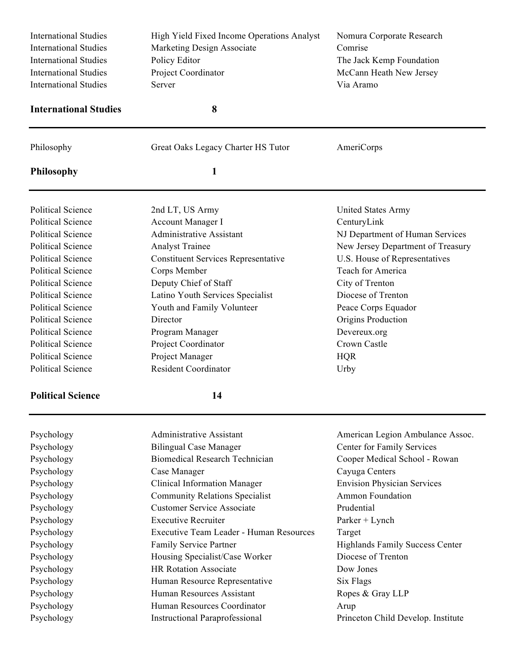| <b>International Studies</b><br><b>International Studies</b><br><b>International Studies</b><br><b>International Studies</b><br><b>International Studies</b> | High Yield Fixed Income Operations Analyst<br>Marketing Design Associate<br>Policy Editor<br>Project Coordinator<br>Server | Nomura Corporate Research<br>Comrise<br>The Jack Kemp Foundation<br>McCann Heath New Jersey<br>Via Aramo |  |
|--------------------------------------------------------------------------------------------------------------------------------------------------------------|----------------------------------------------------------------------------------------------------------------------------|----------------------------------------------------------------------------------------------------------|--|
| <b>International Studies</b>                                                                                                                                 | 8                                                                                                                          |                                                                                                          |  |
| Philosophy                                                                                                                                                   | Great Oaks Legacy Charter HS Tutor                                                                                         | AmeriCorps                                                                                               |  |
| <b>Philosophy</b>                                                                                                                                            | 1                                                                                                                          |                                                                                                          |  |
| <b>Political Science</b>                                                                                                                                     | 2nd LT, US Army                                                                                                            | United States Army                                                                                       |  |
| <b>Political Science</b>                                                                                                                                     | Account Manager I                                                                                                          | CenturyLink                                                                                              |  |
| <b>Political Science</b>                                                                                                                                     | <b>Administrative Assistant</b>                                                                                            | NJ Department of Human Services                                                                          |  |
| <b>Political Science</b>                                                                                                                                     | <b>Analyst Trainee</b>                                                                                                     | New Jersey Department of Treasury                                                                        |  |
| <b>Political Science</b>                                                                                                                                     | <b>Constituent Services Representative</b>                                                                                 | U.S. House of Representatives                                                                            |  |
| <b>Political Science</b>                                                                                                                                     | Corps Member                                                                                                               | Teach for America                                                                                        |  |
| <b>Political Science</b>                                                                                                                                     | Deputy Chief of Staff                                                                                                      | City of Trenton                                                                                          |  |
| <b>Political Science</b>                                                                                                                                     | Latino Youth Services Specialist                                                                                           | Diocese of Trenton                                                                                       |  |
| <b>Political Science</b>                                                                                                                                     | Youth and Family Volunteer                                                                                                 | Peace Corps Equador                                                                                      |  |
| <b>Political Science</b>                                                                                                                                     | Director                                                                                                                   | Origins Production                                                                                       |  |
| <b>Political Science</b>                                                                                                                                     | Program Manager                                                                                                            | Devereux.org                                                                                             |  |
| <b>Political Science</b>                                                                                                                                     | Project Coordinator                                                                                                        | Crown Castle                                                                                             |  |
| <b>Political Science</b>                                                                                                                                     | Project Manager                                                                                                            | <b>HQR</b>                                                                                               |  |
| <b>Political Science</b>                                                                                                                                     | <b>Resident Coordinator</b>                                                                                                | Urby                                                                                                     |  |
| <b>Political Science</b>                                                                                                                                     | 14                                                                                                                         |                                                                                                          |  |
| Psychology                                                                                                                                                   | <b>Administrative Assistant</b>                                                                                            | American Legion Ambulance Assoc.                                                                         |  |
| Psychology                                                                                                                                                   | <b>Bilingual Case Manager</b>                                                                                              | Center for Family Services                                                                               |  |
| Psychology                                                                                                                                                   | <b>Biomedical Research Technician</b>                                                                                      | Cooper Medical School - Rowan                                                                            |  |
| Psychology                                                                                                                                                   | Case Manager                                                                                                               | Cayuga Centers                                                                                           |  |
| Psychology                                                                                                                                                   | <b>Clinical Information Manager</b>                                                                                        | <b>Envision Physician Services</b>                                                                       |  |
| Psychology                                                                                                                                                   | <b>Community Relations Specialist</b>                                                                                      | <b>Ammon Foundation</b>                                                                                  |  |
| Psychology                                                                                                                                                   | <b>Customer Service Associate</b>                                                                                          | Prudential                                                                                               |  |

Psychology Executive Recruiter Parker + Lynch Psychology Executive Team Leader - Human Resources Target Psychology Family Service Partner Highlands Family Success Center Psychology Housing Specialist/Case Worker Diocese of Trenton Psychology HR Rotation Associate Dow Jones Psychology Human Resource Representative Six Flags Psychology Human Resources Assistant Ropes & Gray LLP Psychology Human Resources Coordinator Arup

Psychology Instructional Paraprofessional Princeton Child Develop. Institute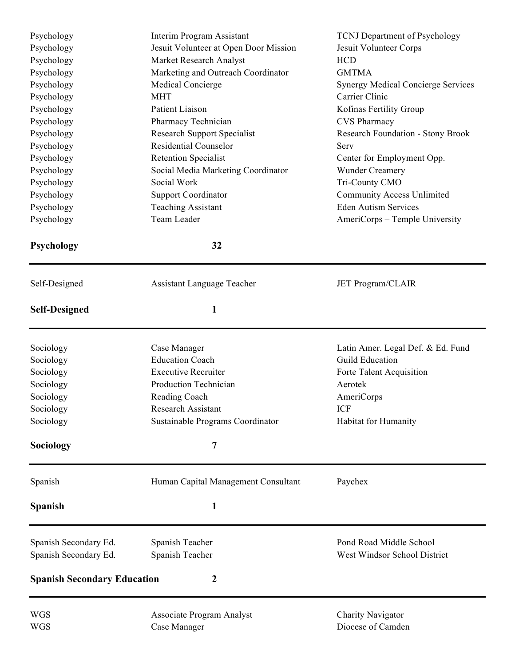| Psychology<br>Psychology<br>Psychology | Interim Program Assistant<br>Jesuit Volunteer at Open Door Mission<br>Market Research Analyst | <b>TCNJ</b> Department of Psychology<br>Jesuit Volunteer Corps<br><b>HCD</b> |
|----------------------------------------|-----------------------------------------------------------------------------------------------|------------------------------------------------------------------------------|
| Psychology                             | Marketing and Outreach Coordinator                                                            | <b>GMTMA</b>                                                                 |
| Psychology                             | Medical Concierge<br><b>MHT</b>                                                               | <b>Synergy Medical Concierge Services</b><br>Carrier Clinic                  |
| Psychology<br>Psychology               | Patient Liaison                                                                               | Kofinas Fertility Group                                                      |
| Psychology                             | Pharmacy Technician                                                                           | <b>CVS Pharmacy</b>                                                          |
| Psychology                             | <b>Research Support Specialist</b>                                                            | Research Foundation - Stony Brook                                            |
| Psychology                             | <b>Residential Counselor</b>                                                                  | Serv                                                                         |
| Psychology                             | <b>Retention Specialist</b>                                                                   | Center for Employment Opp.                                                   |
| Psychology                             | Social Media Marketing Coordinator                                                            | <b>Wunder Creamery</b>                                                       |
| Psychology                             | Social Work                                                                                   | Tri-County CMO                                                               |
| Psychology                             | <b>Support Coordinator</b>                                                                    | <b>Community Access Unlimited</b>                                            |
| Psychology                             | <b>Teaching Assistant</b>                                                                     | <b>Eden Autism Services</b>                                                  |
| Psychology                             | Team Leader                                                                                   | AmeriCorps - Temple University                                               |
| Psychology                             | 32                                                                                            |                                                                              |
| Self-Designed                          | Assistant Language Teacher                                                                    | <b>JET Program/CLAIR</b>                                                     |
| <b>Self-Designed</b>                   | 1                                                                                             |                                                                              |
| Sociology                              | Case Manager                                                                                  | Latin Amer. Legal Def. & Ed. Fund                                            |
| Sociology                              | <b>Education Coach</b>                                                                        | <b>Guild Education</b>                                                       |
| Sociology                              | <b>Executive Recruiter</b>                                                                    | Forte Talent Acquisition                                                     |
| Sociology                              | Production Technician                                                                         | Aerotek                                                                      |
| Sociology                              | Reading Coach                                                                                 | AmeriCorps                                                                   |
| Sociology                              | <b>Research Assistant</b>                                                                     | <b>ICF</b>                                                                   |
| Sociology                              | Sustainable Programs Coordinator                                                              | Habitat for Humanity                                                         |
| Sociology                              | 7                                                                                             |                                                                              |
| Spanish                                | Human Capital Management Consultant                                                           | Paychex                                                                      |
| <b>Spanish</b>                         | $\mathbf{1}$                                                                                  |                                                                              |
| Spanish Secondary Ed.                  | Spanish Teacher                                                                               | Pond Road Middle School                                                      |
| Spanish Secondary Ed.                  | Spanish Teacher                                                                               | West Windsor School District                                                 |
| <b>Spanish Secondary Education</b>     | 2                                                                                             |                                                                              |
| <b>WGS</b>                             | <b>Associate Program Analyst</b>                                                              | Charity Navigator                                                            |
| <b>WGS</b>                             | Case Manager                                                                                  | Diocese of Camden                                                            |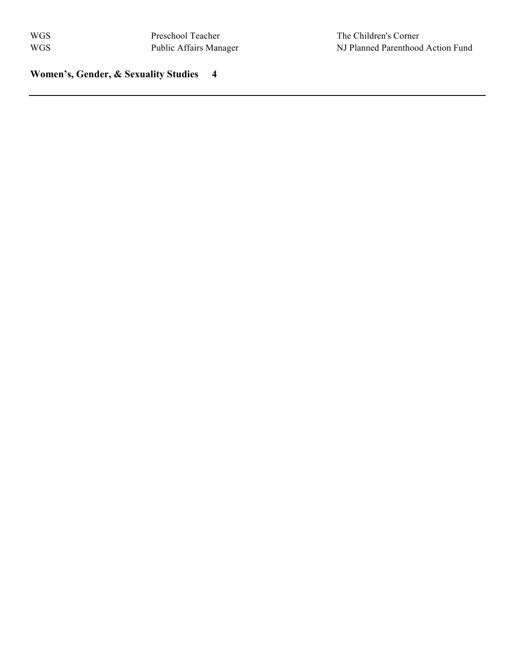**Women's, Gender, & Sexuality Studies 4**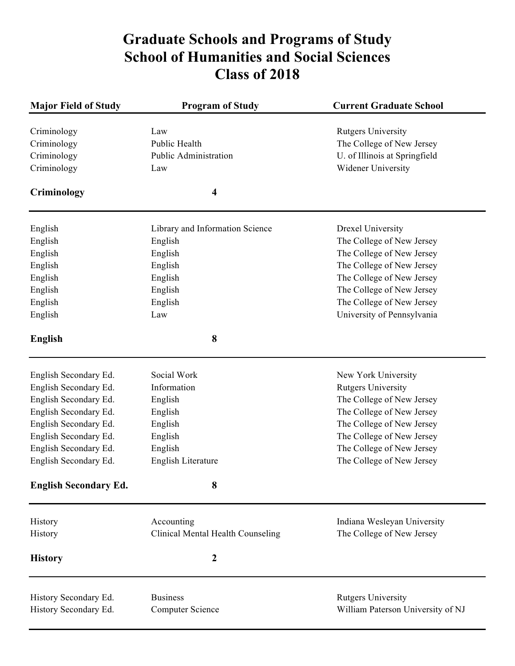# **Graduate Schools and Programs of Study School of Humanities and Social Sciences Class of 2018**

| <b>Major Field of Study</b>  | <b>Program of Study</b>           | <b>Current Graduate School</b>    |  |
|------------------------------|-----------------------------------|-----------------------------------|--|
| Criminology                  | Law                               | <b>Rutgers University</b>         |  |
| Criminology                  | Public Health                     | The College of New Jersey         |  |
| Criminology                  | Public Administration             | U. of Illinois at Springfield     |  |
| Criminology                  | Law                               | Widener University                |  |
| Criminology                  | 4                                 |                                   |  |
| English                      | Library and Information Science   | Drexel University                 |  |
| English                      | English                           | The College of New Jersey         |  |
| English                      | English                           | The College of New Jersey         |  |
| English                      | English                           | The College of New Jersey         |  |
| English                      | English                           | The College of New Jersey         |  |
| English                      | English                           | The College of New Jersey         |  |
| English                      | English                           | The College of New Jersey         |  |
| English                      | Law                               | University of Pennsylvania        |  |
| <b>English</b>               | 8                                 |                                   |  |
|                              |                                   |                                   |  |
| English Secondary Ed.        | Social Work                       | New York University               |  |
| English Secondary Ed.        | Information                       | <b>Rutgers University</b>         |  |
| English Secondary Ed.        | English                           | The College of New Jersey         |  |
| English Secondary Ed.        | English                           | The College of New Jersey         |  |
| English Secondary Ed.        | English                           | The College of New Jersey         |  |
| English Secondary Ed.        | English                           | The College of New Jersey         |  |
| English Secondary Ed.        | English                           | The College of New Jersey         |  |
| English Secondary Ed.        | English Literature                | The College of New Jersey         |  |
| <b>English Secondary Ed.</b> | 8                                 |                                   |  |
| History                      | Accounting                        | Indiana Wesleyan University       |  |
| History                      | Clinical Mental Health Counseling | The College of New Jersey         |  |
|                              |                                   |                                   |  |
| <b>History</b>               | $\boldsymbol{2}$                  |                                   |  |
|                              |                                   |                                   |  |
| History Secondary Ed.        | <b>Business</b>                   | <b>Rutgers University</b>         |  |
| History Secondary Ed.        | <b>Computer Science</b>           | William Paterson University of NJ |  |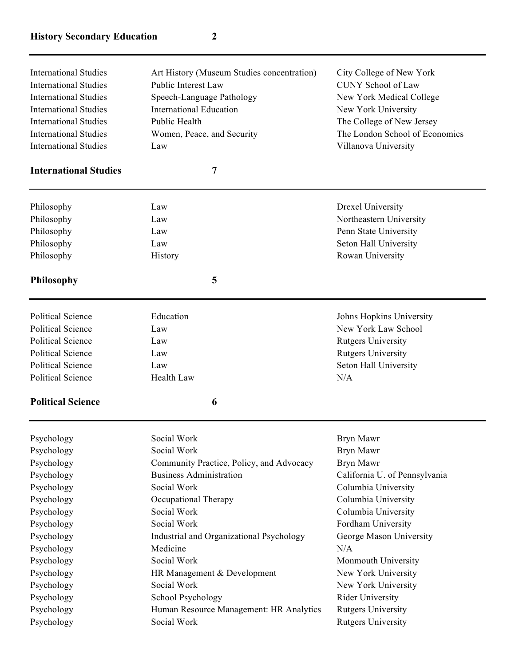# **History Secondary Education 2**

| <b>International Studies</b> | Art History (Museum Studies concentration) | City College of New York       |
|------------------------------|--------------------------------------------|--------------------------------|
| <b>International Studies</b> | Public Interest Law                        | <b>CUNY School of Law</b>      |
| <b>International Studies</b> | Speech-Language Pathology                  | New York Medical College       |
| <b>International Studies</b> | International Education                    | New York University            |
| <b>International Studies</b> | Public Health                              | The College of New Jersey      |
| <b>International Studies</b> | Women, Peace, and Security                 | The London School of Economics |
| <b>International Studies</b> | Law                                        | Villanova University           |
|                              |                                            |                                |

### **International Studies 7**

| Psychology               | Social Work | <b>Rryn Mawr</b>          |
|--------------------------|-------------|---------------------------|
| <b>Political Science</b> | 6           |                           |
| <b>Political Science</b> | Health Law  | N/A                       |
| <b>Political Science</b> | Law         | Seton Hall University     |
| <b>Political Science</b> | Law         | <b>Rutgers University</b> |
| <b>Political Science</b> | Law         | <b>Rutgers University</b> |
| <b>Political Science</b> | Law         | New York Law School       |
| <b>Political Science</b> | Education   | Johns Hopkins University  |
| <b>Philosophy</b>        | 5           |                           |
| Philosophy               | History     | Rowan University          |
| Philosophy               | Law         | Seton Hall University     |
| Philosophy               | Law         | Penn State University     |
| Philosophy               | Law         | Northeastern University   |
| Philosophy               | Law         | Drexel University         |

| Psychology | Social Work                              | Bryn Mawr                     |
|------------|------------------------------------------|-------------------------------|
| Psychology | Social Work                              | Bryn Mawr                     |
| Psychology | Community Practice, Policy, and Advocacy | Bryn Mawr                     |
| Psychology | <b>Business Administration</b>           | California U. of Pennsylvania |
| Psychology | Social Work                              | Columbia University           |
| Psychology | Occupational Therapy                     | Columbia University           |
| Psychology | Social Work                              | Columbia University           |
| Psychology | Social Work                              | Fordham University            |
| Psychology | Industrial and Organizational Psychology | George Mason University       |
| Psychology | Medicine                                 | N/A                           |
| Psychology | Social Work                              | Monmouth University           |
| Psychology | HR Management & Development              | New York University           |
| Psychology | Social Work                              | New York University           |
| Psychology | School Psychology                        | Rider University              |
| Psychology | Human Resource Management: HR Analytics  | <b>Rutgers University</b>     |
| Psychology | Social Work                              | <b>Rutgers University</b>     |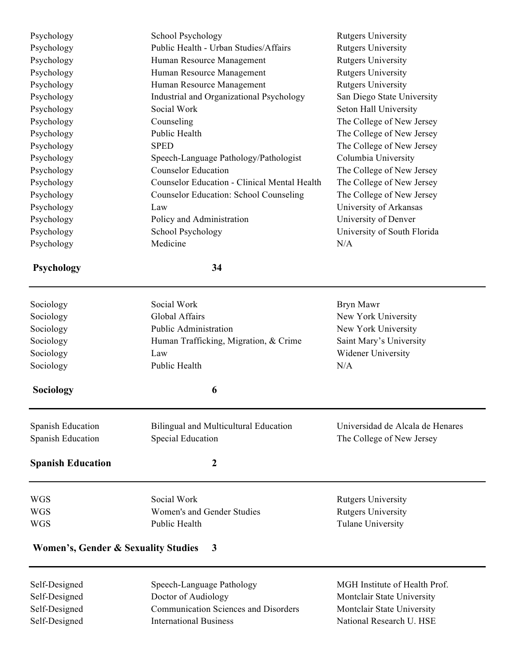Psychology School Psychology Rutgers University Psychology Public Health - Urban Studies/Affairs Rutgers University Psychology Human Resource Management Rutgers University Psychology **Human Resource Management** Rutgers University Psychology **Human Resource Management** Rutgers University Psychology Industrial and Organizational Psychology San Diego State University Psychology Social Work Seton Hall University Psychology Counseling Counseling The College of New Jersey Psychology Public Health The College of New Jersey Psychology SPED SPED The College of New Jersey Psychology Speech-Language Pathology/Pathologist Columbia University Psychology Counselor Education The College of New Jersey Psychology Counselor Education - Clinical Mental Health The College of New Jersey Psychology Counselor Education: School Counseling The College of New Jersey Psychology Law University of Arkansas Psychology Policy and Administration University of Denver Psychology School Psychology University of South Florida Psychology Medicine N/A **Psychology 34** Sociology Social Work Bryn Mawr Sociology Global Affairs New York University Sociology Public Administration New York University Sociology **Human Trafficking, Migration, & Crime** Saint Mary's University Sociology **Law** Law Widener University Sociology Public Health N/A **Sociology 6** Spanish Education Bilingual and Multicultural Education Universidad de Alcala de Henares

**Spanish Education 2**

Spanish Education Special Education The College of New Jersey

WGS Social Work Rutgers University WGS Women's and Gender Studies Rutgers University WGS Public Health Tulane University

#### **Women's, Gender & Sexuality Studies 3**

Self-Designed Speech-Language Pathology MGH Institute of Health Prof. Self-Designed Doctor of Audiology Montclair State University Self-Designed Communication Sciences and Disorders Montclair State University Self-Designed International Business National Research U. HSE